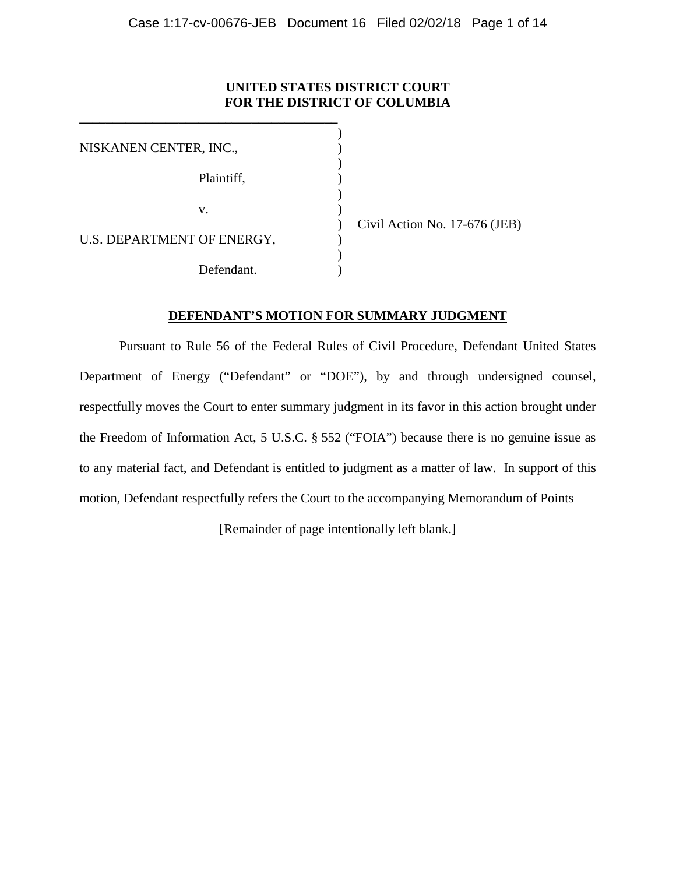## **UNITED STATES DISTRICT COURT FOR THE DISTRICT OF COLUMBIA**

)

)

)

)

| Plaintiff,                 |
|----------------------------|
|                            |
| U.S. DEPARTMENT OF ENERGY, |
| Defendant.                 |
|                            |

**\_\_\_\_\_\_\_\_\_\_\_\_\_\_\_\_\_\_\_\_\_\_\_\_\_\_\_\_\_\_\_\_\_\_\_\_\_\_\_**

) Civil Action No. 17-676 (JEB)

### **DEFENDANT'S MOTION FOR SUMMARY JUDGMENT**

Pursuant to Rule 56 of the Federal Rules of Civil Procedure, Defendant United States Department of Energy ("Defendant" or "DOE"), by and through undersigned counsel, respectfully moves the Court to enter summary judgment in its favor in this action brought under the Freedom of Information Act, 5 U.S.C. § 552 ("FOIA") because there is no genuine issue as to any material fact, and Defendant is entitled to judgment as a matter of law. In support of this motion, Defendant respectfully refers the Court to the accompanying Memorandum of Points

[Remainder of page intentionally left blank.]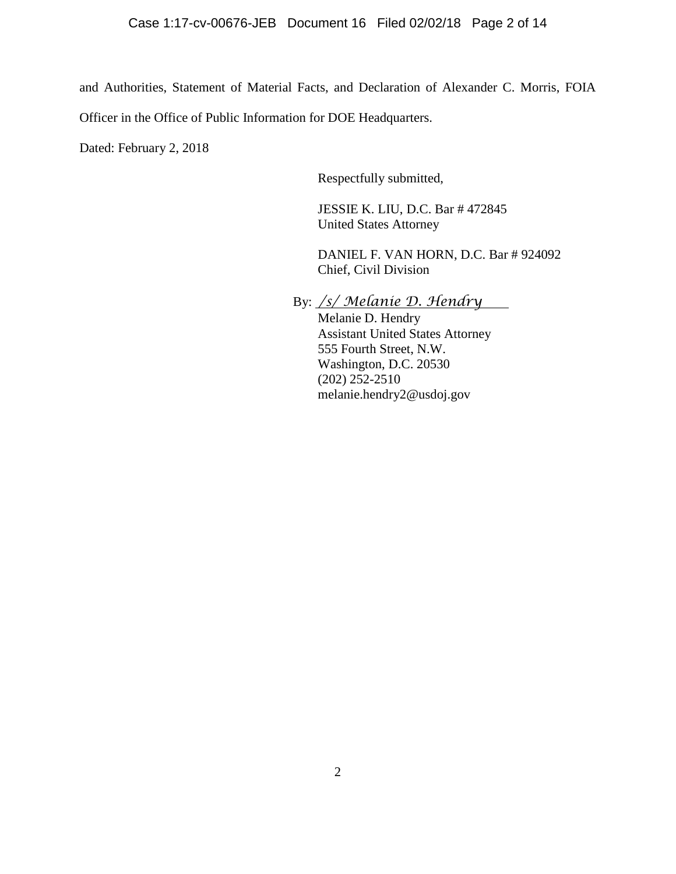and Authorities, Statement of Material Facts, and Declaration of Alexander C. Morris, FOIA

Officer in the Office of Public Information for DOE Headquarters.

Dated: February 2, 2018

Respectfully submitted,

JESSIE K. LIU, D.C. Bar # 472845 United States Attorney

DANIEL F. VAN HORN, D.C. Bar # 924092 Chief, Civil Division

By: */s/ Melanie D. Hendry*

Melanie D. Hendry Assistant United States Attorney 555 Fourth Street, N.W. Washington, D.C. 20530 (202) 252-2510 melanie.hendry2@usdoj.gov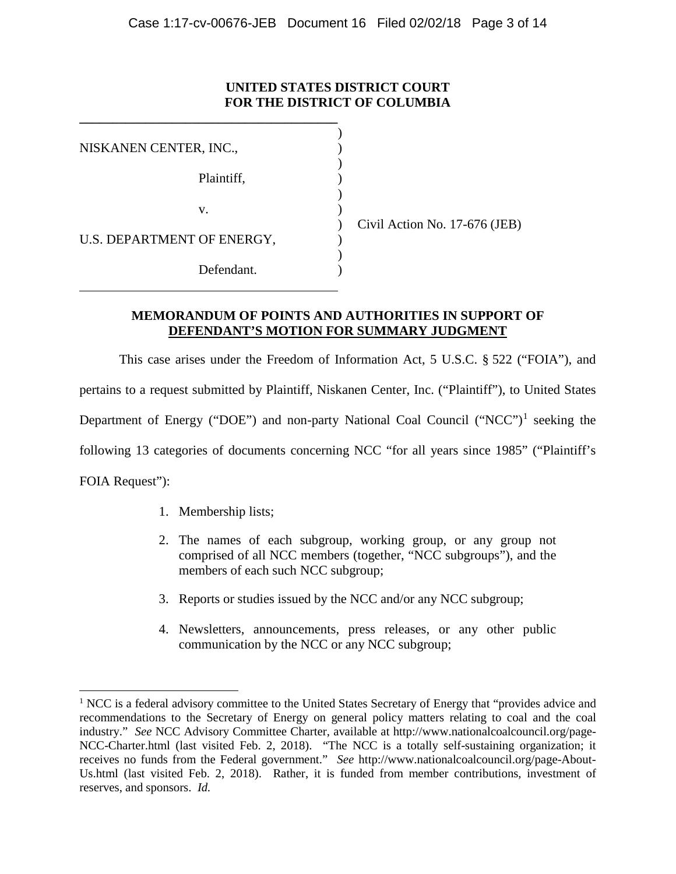## **UNITED STATES DISTRICT COURT FOR THE DISTRICT OF COLUMBIA**

| NISKANEN CENTER, INC.,     |            |  |
|----------------------------|------------|--|
|                            | Plaintiff, |  |
|                            | V.         |  |
| U.S. DEPARTMENT OF ENERGY, |            |  |
|                            | Defendant. |  |

**\_\_\_\_\_\_\_\_\_\_\_\_\_\_\_\_\_\_\_\_\_\_\_\_\_\_\_\_\_\_\_\_\_\_\_\_\_\_\_**

) Civil Action No. 17-676 (JEB)

## **MEMORANDUM OF POINTS AND AUTHORITIES IN SUPPORT OF DEFENDANT'S MOTION FOR SUMMARY JUDGMENT**

This case arises under the Freedom of Information Act, 5 U.S.C. § 522 ("FOIA"), and pertains to a request submitted by Plaintiff, Niskanen Center, Inc. ("Plaintiff"), to United States Department of Energy ("DOE") and non-party National Coal Council ("NCC")<sup>[1](#page-2-0)</sup> seeking the following 13 categories of documents concerning NCC "for all years since 1985" ("Plaintiff's FOIA Request"):

- 1. Membership lists;
- 2. The names of each subgroup, working group, or any group not comprised of all NCC members (together, "NCC subgroups"), and the members of each such NCC subgroup;
- 3. Reports or studies issued by the NCC and/or any NCC subgroup;
- 4. Newsletters, announcements, press releases, or any other public communication by the NCC or any NCC subgroup;

<span id="page-2-0"></span><sup>&</sup>lt;sup>1</sup> NCC is a federal advisory committee to the United States Secretary of Energy that "provides advice and recommendations to the Secretary of Energy on general policy matters relating to coal and the coal industry." *See* NCC Advisory Committee Charter, available at http://www.nationalcoalcouncil.org/page-NCC-Charter.html (last visited Feb. 2, 2018). "The NCC is a totally self-sustaining organization; it receives no funds from the Federal government." *See* http://www.nationalcoalcouncil.org/page-About-Us.html (last visited Feb. 2, 2018). Rather, it is funded from member contributions, investment of reserves, and sponsors. *Id.*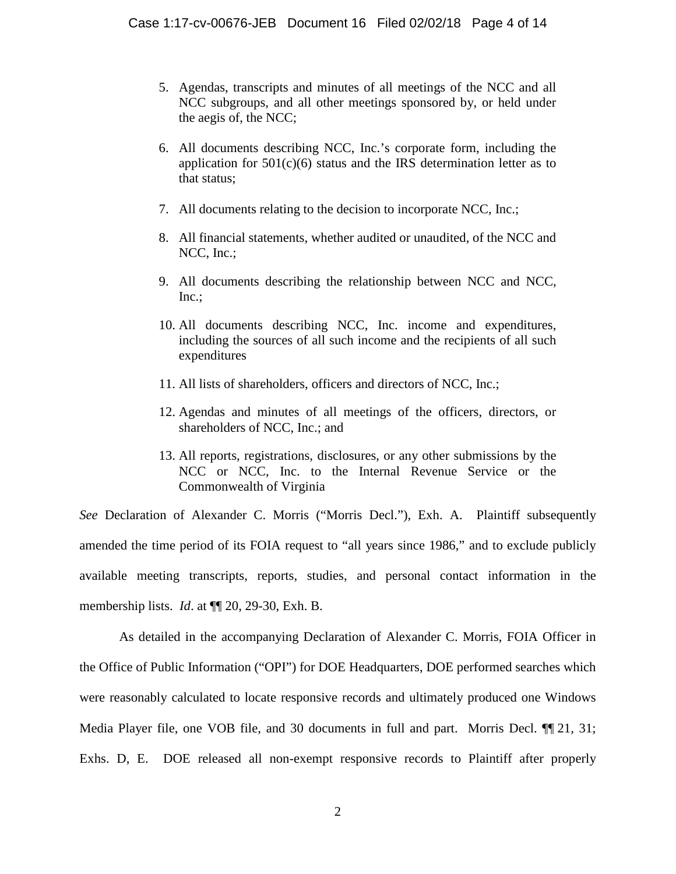- 5. Agendas, transcripts and minutes of all meetings of the NCC and all NCC subgroups, and all other meetings sponsored by, or held under the aegis of, the NCC;
- 6. All documents describing NCC, Inc.'s corporate form, including the application for  $501(c)(6)$  status and the IRS determination letter as to that status;
- 7. All documents relating to the decision to incorporate NCC, Inc.;
- 8. All financial statements, whether audited or unaudited, of the NCC and NCC, Inc.;
- 9. All documents describing the relationship between NCC and NCC, Inc.;
- 10. All documents describing NCC, Inc. income and expenditures, including the sources of all such income and the recipients of all such expenditures
- 11. All lists of shareholders, officers and directors of NCC, Inc.;
- 12. Agendas and minutes of all meetings of the officers, directors, or shareholders of NCC, Inc.; and
- 13. All reports, registrations, disclosures, or any other submissions by the NCC or NCC, Inc. to the Internal Revenue Service or the Commonwealth of Virginia

*See* Declaration of Alexander C. Morris ("Morris Decl."), Exh. A. Plaintiff subsequently amended the time period of its FOIA request to "all years since 1986," and to exclude publicly available meeting transcripts, reports, studies, and personal contact information in the membership lists. *Id*. at ¶¶ 20, 29-30, Exh. B.

As detailed in the accompanying Declaration of Alexander C. Morris, FOIA Officer in the Office of Public Information ("OPI") for DOE Headquarters, DOE performed searches which were reasonably calculated to locate responsive records and ultimately produced one Windows Media Player file, one VOB file, and 30 documents in full and part. Morris Decl.  $\P$ [21, 31; Exhs. D, E. DOE released all non-exempt responsive records to Plaintiff after properly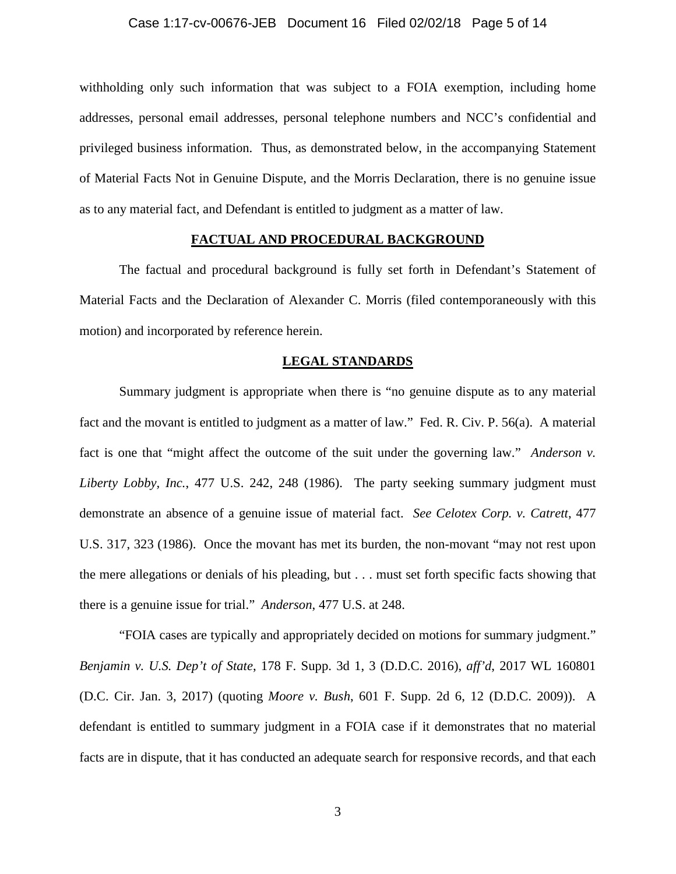### Case 1:17-cv-00676-JEB Document 16 Filed 02/02/18 Page 5 of 14

withholding only such information that was subject to a FOIA exemption, including home addresses, personal email addresses, personal telephone numbers and NCC's confidential and privileged business information. Thus, as demonstrated below, in the accompanying Statement of Material Facts Not in Genuine Dispute, and the Morris Declaration, there is no genuine issue as to any material fact, and Defendant is entitled to judgment as a matter of law.

### **FACTUAL AND PROCEDURAL BACKGROUND**

The factual and procedural background is fully set forth in Defendant's Statement of Material Facts and the Declaration of Alexander C. Morris (filed contemporaneously with this motion) and incorporated by reference herein.

#### **LEGAL STANDARDS**

Summary judgment is appropriate when there is "no genuine dispute as to any material fact and the movant is entitled to judgment as a matter of law." Fed. R. Civ. P. 56(a). A material fact is one that "might affect the outcome of the suit under the governing law." *Anderson v. Liberty Lobby, Inc.*, 477 U.S. 242, 248 (1986). The party seeking summary judgment must demonstrate an absence of a genuine issue of material fact. *See Celotex Corp. v. Catrett*, 477 U.S. 317, 323 (1986). Once the movant has met its burden, the non-movant "may not rest upon the mere allegations or denials of his pleading, but . . . must set forth specific facts showing that there is a genuine issue for trial." *Anderson*, 477 U.S. at 248.

"FOIA cases are typically and appropriately decided on motions for summary judgment." *Benjamin v. U.S. Dep't of State*, 178 F. Supp. 3d 1, 3 (D.D.C. 2016), *aff'd*, 2017 WL 160801 (D.C. Cir. Jan. 3, 2017) (quoting *Moore v. Bush*, 601 F. Supp. 2d 6, 12 (D.D.C. 2009)). A defendant is entitled to summary judgment in a FOIA case if it demonstrates that no material facts are in dispute, that it has conducted an adequate search for responsive records, and that each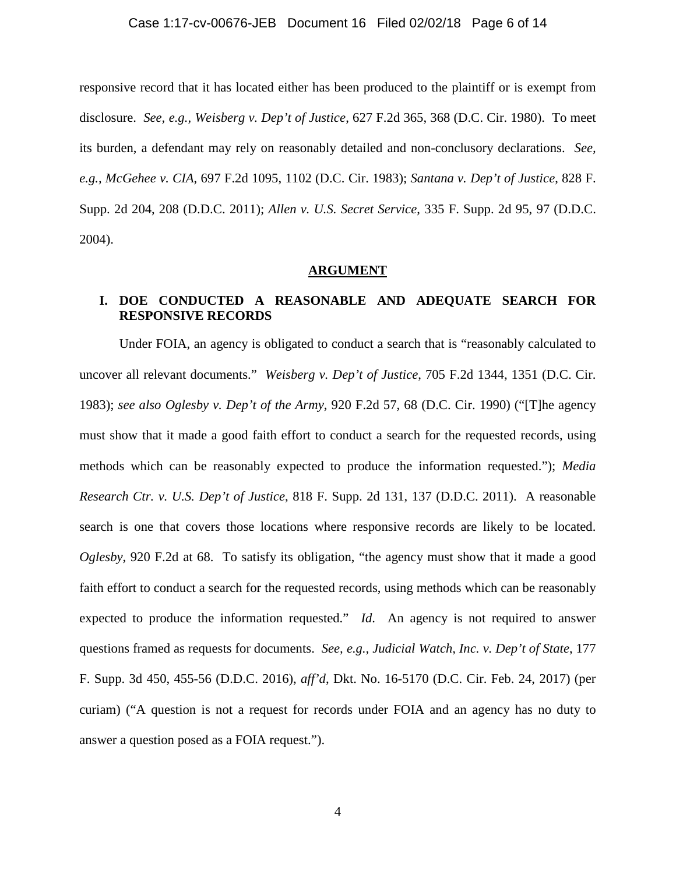# Case 1:17-cv-00676-JEB Document 16 Filed 02/02/18 Page 6 of 14

responsive record that it has located either has been produced to the plaintiff or is exempt from disclosure. *See, e.g., Weisberg v. Dep't of Justice*, 627 F.2d 365, 368 (D.C. Cir. 1980). To meet its burden, a defendant may rely on reasonably detailed and non-conclusory declarations. *See, e.g., McGehee v. CIA*, 697 F.2d 1095, 1102 (D.C. Cir. 1983); *Santana v. Dep't of Justice*, 828 F. Supp. 2d 204, 208 (D.D.C. 2011); *Allen v. U.S. Secret Service*, 335 F. Supp. 2d 95, 97 (D.D.C. 2004).

#### **ARGUMENT**

## **I. DOE CONDUCTED A REASONABLE AND ADEQUATE SEARCH FOR RESPONSIVE RECORDS**

Under FOIA, an agency is obligated to conduct a search that is "reasonably calculated to uncover all relevant documents." *Weisberg v. Dep't of Justice*, 705 F.2d 1344, 1351 (D.C. Cir. 1983); *see also Oglesby v. Dep't of the Army*, 920 F.2d 57, 68 (D.C. Cir. 1990) ("[T]he agency must show that it made a good faith effort to conduct a search for the requested records, using methods which can be reasonably expected to produce the information requested."); *Media Research Ctr. v. U.S. Dep't of Justice*, 818 F. Supp. 2d 131, 137 (D.D.C. 2011). A reasonable search is one that covers those locations where responsive records are likely to be located. *Oglesby*, 920 F.2d at 68. To satisfy its obligation, "the agency must show that it made a good faith effort to conduct a search for the requested records, using methods which can be reasonably expected to produce the information requested." *Id*. An agency is not required to answer questions framed as requests for documents. *See, e.g., Judicial Watch, Inc. v. Dep't of State*, 177 F. Supp. 3d 450, 455-56 (D.D.C. 2016), *aff'd*, Dkt. No. 16-5170 (D.C. Cir. Feb. 24, 2017) (per curiam) ("A question is not a request for records under FOIA and an agency has no duty to answer a question posed as a FOIA request.").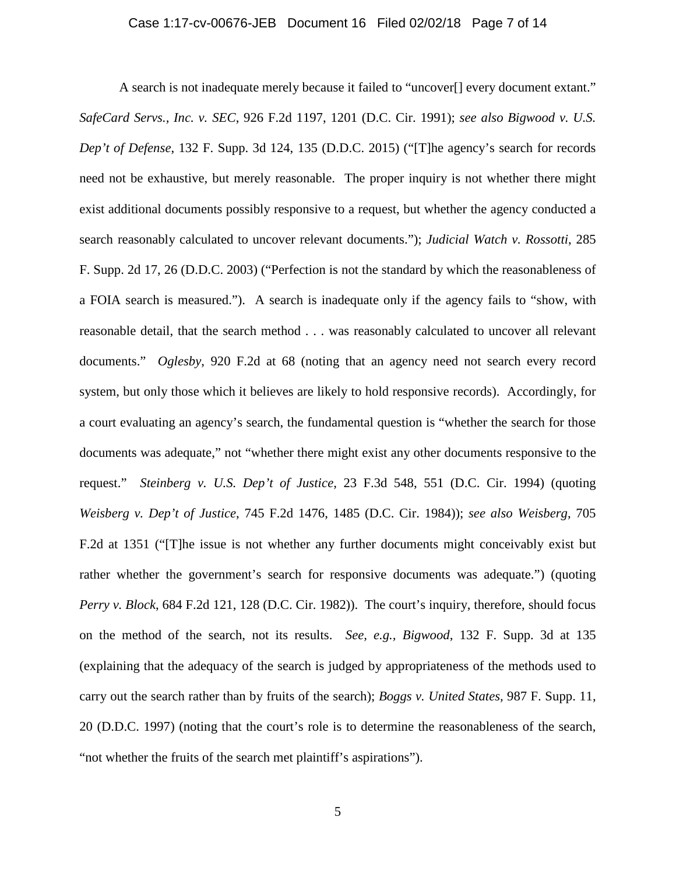### Case 1:17-cv-00676-JEB Document 16 Filed 02/02/18 Page 7 of 14

A search is not inadequate merely because it failed to "uncover[] every document extant." *SafeCard Servs., Inc. v. SEC*, 926 F.2d 1197, 1201 (D.C. Cir. 1991); *see also Bigwood v. U.S. Dep't of Defense*, 132 F. Supp. 3d 124, 135 (D.D.C. 2015) ("[T]he agency's search for records need not be exhaustive, but merely reasonable. The proper inquiry is not whether there might exist additional documents possibly responsive to a request, but whether the agency conducted a search reasonably calculated to uncover relevant documents."); *Judicial Watch v. Rossotti*, 285 F. Supp. 2d 17, 26 (D.D.C. 2003) ("Perfection is not the standard by which the reasonableness of a FOIA search is measured."). A search is inadequate only if the agency fails to "show, with reasonable detail, that the search method . . . was reasonably calculated to uncover all relevant documents." *Oglesby*, 920 F.2d at 68 (noting that an agency need not search every record system, but only those which it believes are likely to hold responsive records). Accordingly, for a court evaluating an agency's search, the fundamental question is "whether the search for those documents was adequate," not "whether there might exist any other documents responsive to the request." *Steinberg v. U.S. Dep't of Justice*, 23 F.3d 548, 551 (D.C. Cir. 1994) (quoting *Weisberg v. Dep't of Justice*, 745 F.2d 1476, 1485 (D.C. Cir. 1984)); *see also Weisberg*, 705 F.2d at 1351 ("[T]he issue is not whether any further documents might conceivably exist but rather whether the government's search for responsive documents was adequate.") (quoting *Perry v. Block*, 684 F.2d 121, 128 (D.C. Cir. 1982)). The court's inquiry, therefore, should focus on the method of the search, not its results. *See, e.g., Bigwood*, 132 F. Supp. 3d at 135 (explaining that the adequacy of the search is judged by appropriateness of the methods used to carry out the search rather than by fruits of the search); *Boggs v. United States,* 987 F. Supp. 11, 20 (D.D.C. 1997) (noting that the court's role is to determine the reasonableness of the search, "not whether the fruits of the search met plaintiff's aspirations").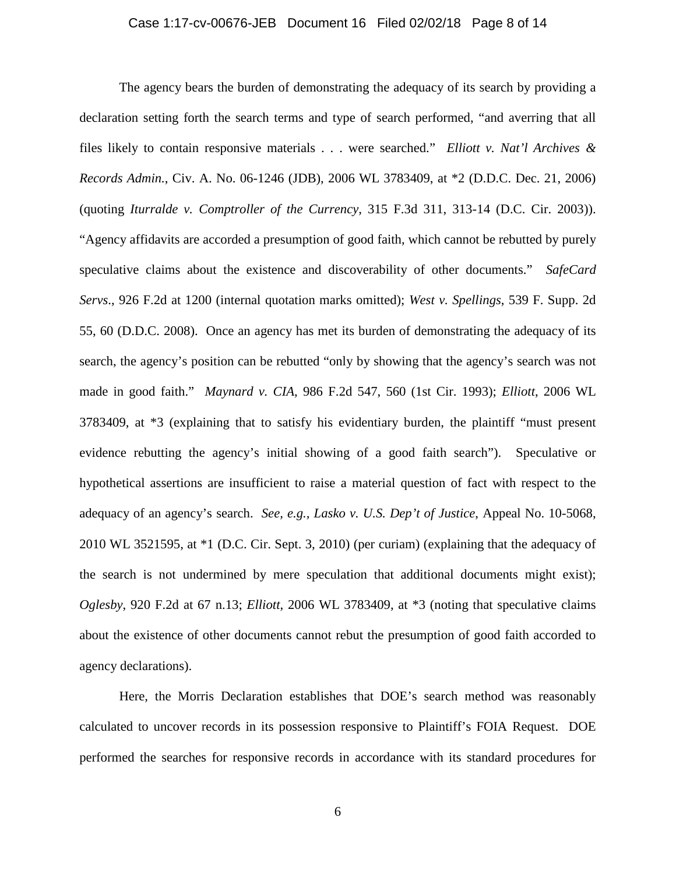### Case 1:17-cv-00676-JEB Document 16 Filed 02/02/18 Page 8 of 14

The agency bears the burden of demonstrating the adequacy of its search by providing a declaration setting forth the search terms and type of search performed, "and averring that all files likely to contain responsive materials . . . were searched." *Elliott v. Nat'l Archives & Records Admin.*, Civ. A. No. 06-1246 (JDB), 2006 WL 3783409, at \*2 (D.D.C. Dec. 21, 2006) (quoting *Iturralde v. Comptroller of the Currency*, 315 F.3d 311, 313-14 (D.C. Cir. 2003)). "Agency affidavits are accorded a presumption of good faith, which cannot be rebutted by purely speculative claims about the existence and discoverability of other documents." *SafeCard Servs*., 926 F.2d at 1200 (internal quotation marks omitted); *West v. Spellings*, 539 F. Supp. 2d 55, 60 (D.D.C. 2008). Once an agency has met its burden of demonstrating the adequacy of its search, the agency's position can be rebutted "only by showing that the agency's search was not made in good faith." *Maynard v. CIA*, 986 F.2d 547, 560 (1st Cir. 1993); *Elliott*, 2006 WL 3783409, at \*3 (explaining that to satisfy his evidentiary burden, the plaintiff "must present evidence rebutting the agency's initial showing of a good faith search"). Speculative or hypothetical assertions are insufficient to raise a material question of fact with respect to the adequacy of an agency's search. *See, e.g., Lasko v. U.S. Dep't of Justice*, Appeal No. 10-5068, 2010 WL 3521595, at \*1 (D.C. Cir. Sept. 3, 2010) (per curiam) (explaining that the adequacy of the search is not undermined by mere speculation that additional documents might exist); *Oglesby*, 920 F.2d at 67 n.13; *Elliott*, 2006 WL 3783409, at \*3 (noting that speculative claims about the existence of other documents cannot rebut the presumption of good faith accorded to agency declarations).

Here, the Morris Declaration establishes that DOE's search method was reasonably calculated to uncover records in its possession responsive to Plaintiff's FOIA Request. DOE performed the searches for responsive records in accordance with its standard procedures for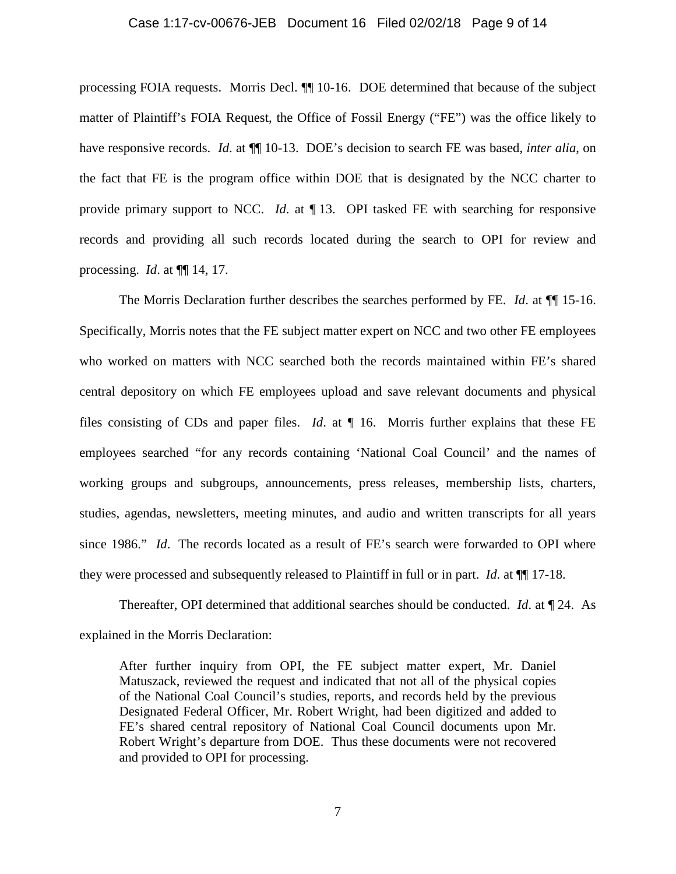#### Case 1:17-cv-00676-JEB Document 16 Filed 02/02/18 Page 9 of 14

processing FOIA requests. Morris Decl. ¶¶ 10-16. DOE determined that because of the subject matter of Plaintiff's FOIA Request, the Office of Fossil Energy ("FE") was the office likely to have responsive records. *Id*. at ¶¶ 10-13. DOE's decision to search FE was based, *inter alia*, on the fact that FE is the program office within DOE that is designated by the NCC charter to provide primary support to NCC. *Id*. at ¶ 13. OPI tasked FE with searching for responsive records and providing all such records located during the search to OPI for review and processing. *Id*. at ¶¶ 14, 17.

The Morris Declaration further describes the searches performed by FE. *Id*. at ¶¶ 15-16. Specifically, Morris notes that the FE subject matter expert on NCC and two other FE employees who worked on matters with NCC searched both the records maintained within FE's shared central depository on which FE employees upload and save relevant documents and physical files consisting of CDs and paper files. *Id*. at ¶ 16. Morris further explains that these FE employees searched "for any records containing 'National Coal Council' and the names of working groups and subgroups, announcements, press releases, membership lists, charters, studies, agendas, newsletters, meeting minutes, and audio and written transcripts for all years since 1986." *Id*. The records located as a result of FE's search were forwarded to OPI where they were processed and subsequently released to Plaintiff in full or in part. *Id*. at ¶¶ 17-18.

Thereafter, OPI determined that additional searches should be conducted. *Id*. at ¶ 24. As explained in the Morris Declaration:

After further inquiry from OPI, the FE subject matter expert, Mr. Daniel Matuszack, reviewed the request and indicated that not all of the physical copies of the National Coal Council's studies, reports, and records held by the previous Designated Federal Officer, Mr. Robert Wright, had been digitized and added to FE's shared central repository of National Coal Council documents upon Mr. Robert Wright's departure from DOE. Thus these documents were not recovered and provided to OPI for processing.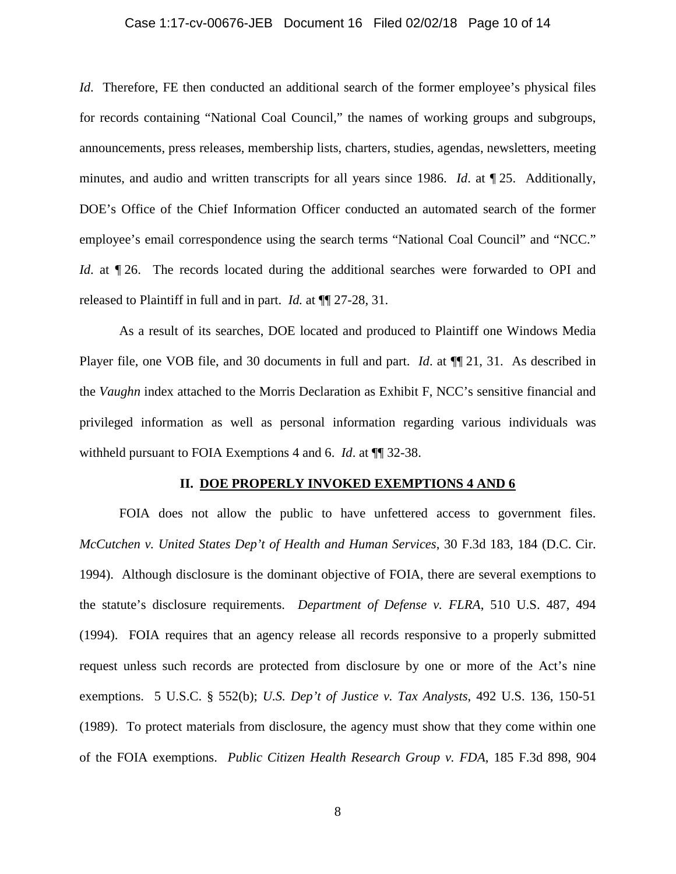### Case 1:17-cv-00676-JEB Document 16 Filed 02/02/18 Page 10 of 14

*Id.* Therefore, FE then conducted an additional search of the former employee's physical files for records containing "National Coal Council," the names of working groups and subgroups, announcements, press releases, membership lists, charters, studies, agendas, newsletters, meeting minutes, and audio and written transcripts for all years since 1986. *Id*. at ¶ 25. Additionally, DOE's Office of the Chief Information Officer conducted an automated search of the former employee's email correspondence using the search terms "National Coal Council" and "NCC." *Id.* at  $\P$  26. The records located during the additional searches were forwarded to OPI and released to Plaintiff in full and in part. *Id.* at ¶¶ 27-28, 31.

As a result of its searches, DOE located and produced to Plaintiff one Windows Media Player file, one VOB file, and 30 documents in full and part. *Id.* at  $\P$  1. 31. As described in the *Vaughn* index attached to the Morris Declaration as Exhibit F, NCC's sensitive financial and privileged information as well as personal information regarding various individuals was withheld pursuant to FOIA Exemptions 4 and 6. *Id*. at ¶¶ 32-38.

#### **II. DOE PROPERLY INVOKED EXEMPTIONS 4 AND 6**

FOIA does not allow the public to have unfettered access to government files. *McCutchen v. United States Dep't of Health and Human Services*, 30 F.3d 183, 184 (D.C. Cir. 1994). Although disclosure is the dominant objective of FOIA, there are several exemptions to the statute's disclosure requirements. *Department of Defense v. FLRA*, 510 U.S. 487, 494 (1994). FOIA requires that an agency release all records responsive to a properly submitted request unless such records are protected from disclosure by one or more of the Act's nine exemptions. 5 U.S.C. § 552(b); *U.S. Dep't of Justice v. Tax Analysts*, 492 U.S. 136, 150-51 (1989). To protect materials from disclosure, the agency must show that they come within one of the FOIA exemptions. *Public Citizen Health Research Group v. FDA*, 185 F.3d 898, 904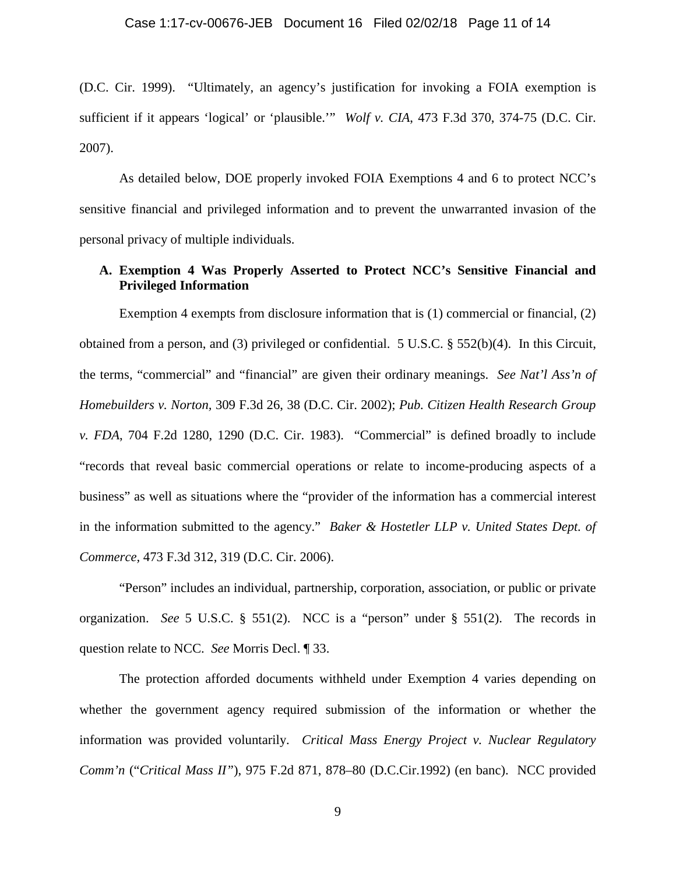(D.C. Cir. 1999). "Ultimately, an agency's justification for invoking a FOIA exemption is sufficient if it appears 'logical' or 'plausible.'" *Wolf v. CIA*, 473 F.3d 370, 374-75 (D.C. Cir. 2007).

As detailed below, DOE properly invoked FOIA Exemptions 4 and 6 to protect NCC's sensitive financial and privileged information and to prevent the unwarranted invasion of the personal privacy of multiple individuals.

## **A. Exemption 4 Was Properly Asserted to Protect NCC's Sensitive Financial and Privileged Information**

Exemption 4 exempts from disclosure information that is (1) commercial or financial, (2) obtained from a person, and (3) privileged or confidential. 5 U.S.C. § 552(b)(4). In this Circuit, the terms, "commercial" and "financial" are given their ordinary meanings. *See Nat'l Ass'n of Homebuilders v. Norton,* 309 F.3d 26, 38 (D.C. Cir. 2002); *Pub. Citizen Health Research Group v. FDA*, 704 F.2d 1280, 1290 (D.C. Cir. 1983). "Commercial" is defined broadly to include "records that reveal basic commercial operations or relate to income-producing aspects of a business" as well as situations where the "provider of the information has a commercial interest in the information submitted to the agency." *Baker & Hostetler LLP v. United States Dept. of Commerce,* 473 F.3d 312, 319 (D.C. Cir. 2006).

"Person" includes an individual, partnership, corporation, association, or public or private organization. *See* 5 U.S.C. § 551(2). NCC is a "person" under § 551(2). The records in question relate to NCC. *See* Morris Decl. ¶ 33.

The protection afforded documents withheld under Exemption 4 varies depending on whether the government agency required submission of the information or whether the information was provided voluntarily. *Critical Mass Energy Project v. Nuclear Regulatory Comm'n* ("*Critical Mass II"*), 975 F.2d 871, 878–80 (D.C.Cir.1992) (en banc). NCC provided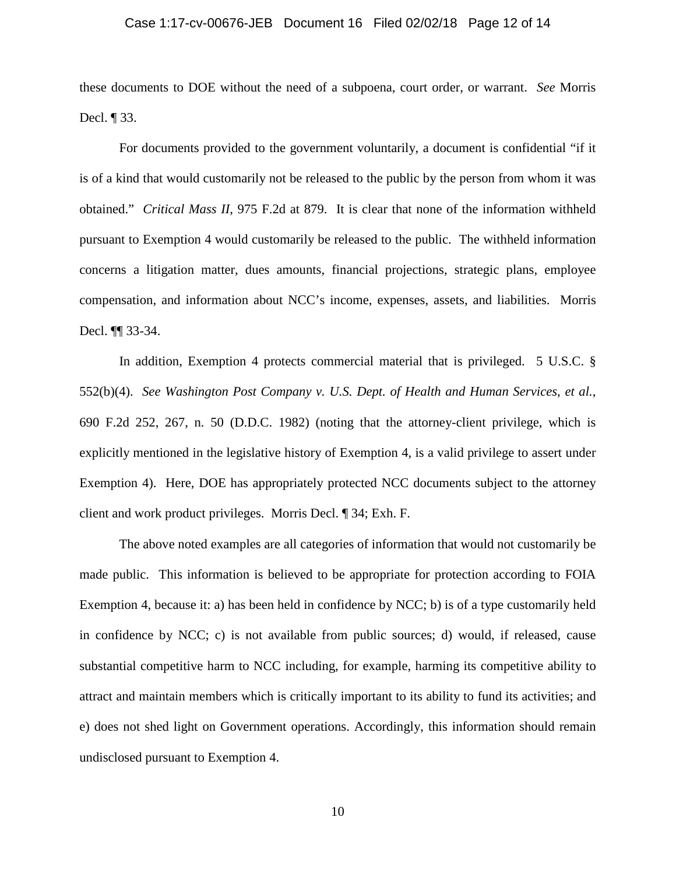#### Case 1:17-cv-00676-JEB Document 16 Filed 02/02/18 Page 12 of 14

these documents to DOE without the need of a subpoena, court order, or warrant. *See* Morris Decl. ¶ 33.

For documents provided to the government voluntarily, a document is confidential "if it is of a kind that would customarily not be released to the public by the person from whom it was obtained." *Critical Mass II*, 975 F.2d at 879. It is clear that none of the information withheld pursuant to Exemption 4 would customarily be released to the public. The withheld information concerns a litigation matter, dues amounts, financial projections, strategic plans, employee compensation, and information about NCC's income, expenses, assets, and liabilities. Morris Decl. ¶¶ 33-34.

In addition, Exemption 4 protects commercial material that is privileged. 5 U.S.C. § 552(b)(4). *See Washington Post Company v. U.S. Dept. of Health and Human Services*, *et al.*, 690 F.2d 252, 267, n. 50 (D.D.C. 1982) (noting that the attorney-client privilege, which is explicitly mentioned in the legislative history of Exemption 4, is a valid privilege to assert under Exemption 4). Here, DOE has appropriately protected NCC documents subject to the attorney client and work product privileges. Morris Decl. ¶ 34; Exh. F.

The above noted examples are all categories of information that would not customarily be made public. This information is believed to be appropriate for protection according to FOIA Exemption 4, because it: a) has been held in confidence by NCC; b) is of a type customarily held in confidence by NCC; c) is not available from public sources; d) would, if released, cause substantial competitive harm to NCC including, for example, harming its competitive ability to attract and maintain members which is critically important to its ability to fund its activities; and e) does not shed light on Government operations. Accordingly, this information should remain undisclosed pursuant to Exemption 4.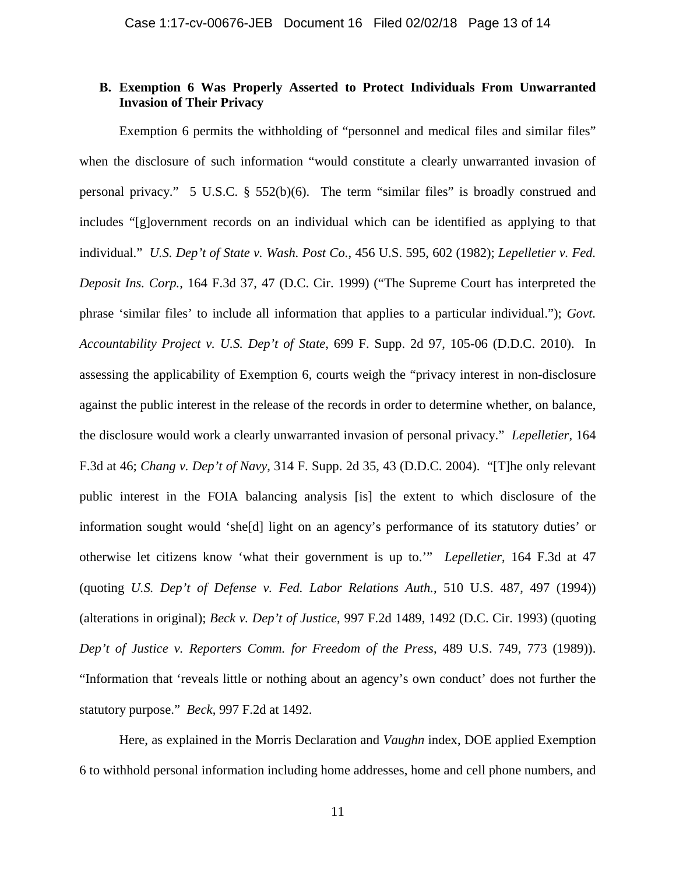### **B. Exemption 6 Was Properly Asserted to Protect Individuals From Unwarranted Invasion of Their Privacy**

Exemption 6 permits the withholding of "personnel and medical files and similar files" when the disclosure of such information "would constitute a clearly unwarranted invasion of personal privacy." 5 U.S.C. § 552(b)(6). The term "similar files" is broadly construed and includes "[g]overnment records on an individual which can be identified as applying to that individual." *U.S. Dep't of State v. Wash. Post Co.*, 456 U.S. 595, 602 (1982); *Lepelletier v. Fed. Deposit Ins. Corp.*, 164 F.3d 37, 47 (D.C. Cir. 1999) ("The Supreme Court has interpreted the phrase 'similar files' to include all information that applies to a particular individual."); *Govt. Accountability Project v. U.S. Dep't of State*, 699 F. Supp. 2d 97, 105-06 (D.D.C. 2010). In assessing the applicability of Exemption 6, courts weigh the "privacy interest in non-disclosure against the public interest in the release of the records in order to determine whether, on balance, the disclosure would work a clearly unwarranted invasion of personal privacy." *Lepelletier*, 164 F.3d at 46; *Chang v. Dep't of Navy*, 314 F. Supp. 2d 35, 43 (D.D.C. 2004). "[T]he only relevant public interest in the FOIA balancing analysis [is] the extent to which disclosure of the information sought would 'she[d] light on an agency's performance of its statutory duties' or otherwise let citizens know 'what their government is up to.'" *Lepelletier*, 164 F.3d at 47 (quoting *U.S. Dep't of Defense v. Fed. Labor Relations Auth.*, 510 U.S. 487, 497 (1994)) (alterations in original); *Beck v. Dep't of Justice*, 997 F.2d 1489, 1492 (D.C. Cir. 1993) (quoting *Dep't of Justice v. Reporters Comm. for Freedom of the Press*, 489 U.S. 749, 773 (1989)). "Information that 'reveals little or nothing about an agency's own conduct' does not further the statutory purpose." *Beck*, 997 F.2d at 1492.

Here, as explained in the Morris Declaration and *Vaughn* index, DOE applied Exemption 6 to withhold personal information including home addresses, home and cell phone numbers, and